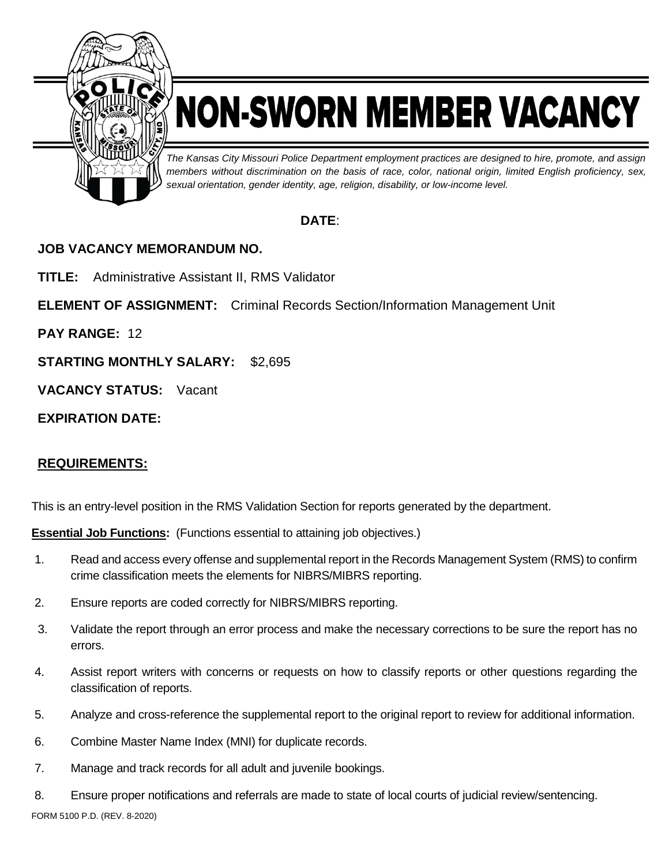

# NON-SWORN MEMBER VACANCY

*The Kansas City Missouri Police Department employment practices are designed to hire, promote, and assign members without discrimination on the basis of race, color, national origin, limited English proficiency, sex, sexual orientation, gender identity, age, religion, disability, or low-income level.*

### **DATE**:

### **JOB VACANCY MEMORANDUM NO.**

**TITLE:** Administrative Assistant II, RMS Validator

**ELEMENT OF ASSIGNMENT:** Criminal Records Section/Information Management Unit

**PAY RANGE:** 12

**STARTING MONTHLY SALARY:** \$2,695

**VACANCY STATUS:** Vacant

**EXPIRATION DATE:**

### **REQUIREMENTS:**

This is an entry-level position in the RMS Validation Section for reports generated by the department.

**Essential Job Functions:** (Functions essential to attaining job objectives.)

- 1. Read and access every offense and supplemental report in the Records Management System (RMS) to confirm crime classification meets the elements for NIBRS/MIBRS reporting.
- 2. Ensure reports are coded correctly for NIBRS/MIBRS reporting.
- 3. Validate the report through an error process and make the necessary corrections to be sure the report has no errors.
- 4. Assist report writers with concerns or requests on how to classify reports or other questions regarding the classification of reports.
- 5. Analyze and cross-reference the supplemental report to the original report to review for additional information.
- 6. Combine Master Name Index (MNI) for duplicate records.
- 7. Manage and track records for all adult and juvenile bookings.
- 8. Ensure proper notifications and referrals are made to state of local courts of judicial review/sentencing.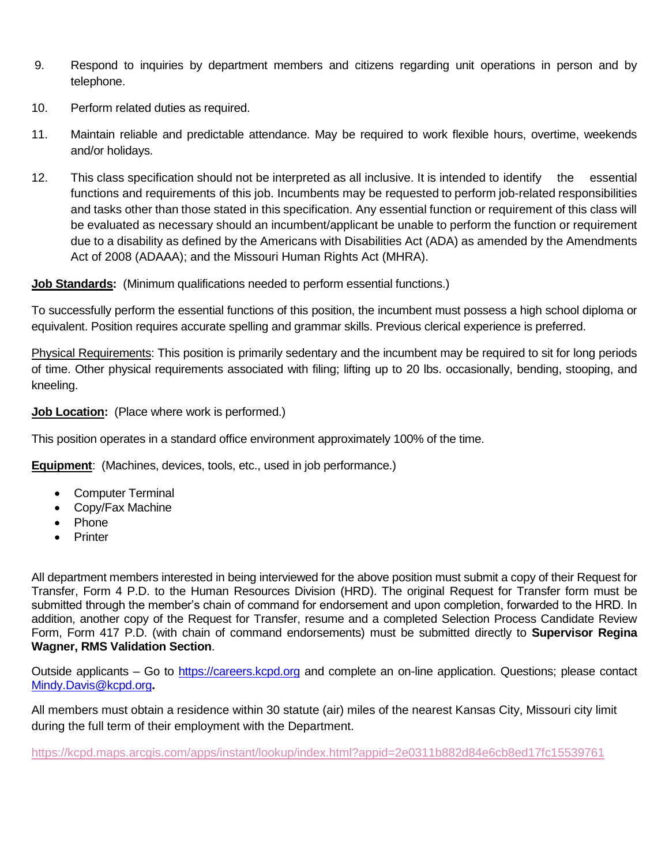- 9. Respond to inquiries by department members and citizens regarding unit operations in person and by telephone.
- 10. Perform related duties as required.
- 11. Maintain reliable and predictable attendance. May be required to work flexible hours, overtime, weekends and/or holidays.
- 12. This class specification should not be interpreted as all inclusive. It is intended to identify the essential functions and requirements of this job. Incumbents may be requested to perform job-related responsibilities and tasks other than those stated in this specification. Any essential function or requirement of this class will be evaluated as necessary should an incumbent/applicant be unable to perform the function or requirement due to a disability as defined by the Americans with Disabilities Act (ADA) as amended by the Amendments Act of 2008 (ADAAA); and the Missouri Human Rights Act (MHRA).

**Job Standards:** (Minimum qualifications needed to perform essential functions.)

To successfully perform the essential functions of this position, the incumbent must possess a high school diploma or equivalent. Position requires accurate spelling and grammar skills. Previous clerical experience is preferred.

Physical Requirements: This position is primarily sedentary and the incumbent may be required to sit for long periods of time. Other physical requirements associated with filing; lifting up to 20 lbs. occasionally, bending, stooping, and kneeling.

**Job Location:** (Place where work is performed.)

This position operates in a standard office environment approximately 100% of the time.

**Equipment**: (Machines, devices, tools, etc., used in job performance.)

- Computer Terminal
- Copy/Fax Machine
- Phone
- Printer

All department members interested in being interviewed for the above position must submit a copy of their Request for Transfer, Form 4 P.D. to the Human Resources Division (HRD). The original Request for Transfer form must be submitted through the member's chain of command for endorsement and upon completion, forwarded to the HRD. In addition, another copy of the Request for Transfer, resume and a completed Selection Process Candidate Review Form, Form 417 P.D. (with chain of command endorsements) must be submitted directly to **Supervisor Regina Wagner, RMS Validation Section**.

Outside applicants – Go to [https://careers.kcpd.org](https://careers.kcpd.org/) and complete an on-line application. Questions; please contact [Mindy.Davis@kcpd.org](mailto:Mindy.Davis@kcpd.org)**.**

All members must obtain a residence within 30 statute (air) miles of the nearest Kansas City, Missouri city limit during the full term of their employment with the Department.

<https://kcpd.maps.arcgis.com/apps/instant/lookup/index.html?appid=2e0311b882d84e6cb8ed17fc15539761>